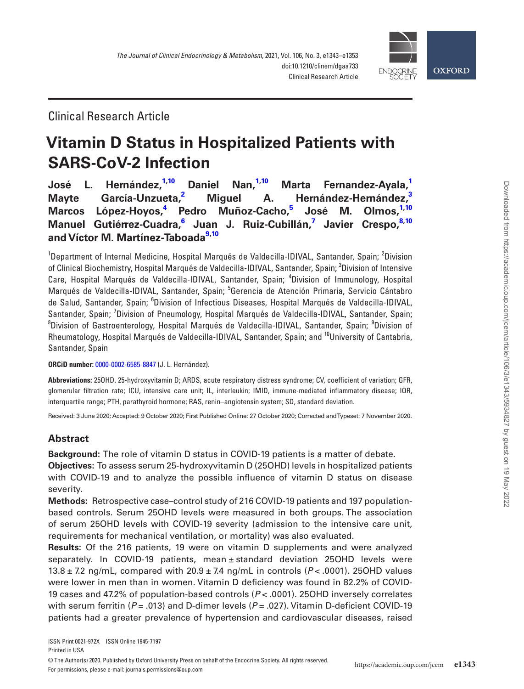

## Clinical Research Article

# **Vitamin D Status in Hospitalized Patients with SARS-CoV-2 Infection**

**[José L. Hernández,](http://orcid.org/0000-0002-6585-8847)[1](#page-0-0),[10](#page-0-1) Daniel Nan[,1,](#page-0-0)[10](#page-0-1) Marta Fernandez-Ayala[,1](#page-0-0) Mayte García-Unzueta,[2](#page-0-2) Miguel A. Hernández-Hernández[,3](#page-0-3) Marcos López-Hoyos[,4](#page-0-4) Pedro Muñoz-Cacho[,5](#page-0-5) José M. Olmos,[1](#page-0-0)[,10](#page-0-1) Manuel Gutiérrez-Cuadra,[6](#page-0-6) Juan J. Ruiz-Cubillán[,7](#page-0-7) Javier Crespo,[8](#page-0-8)[,10](#page-0-1) and Víctor M. Martínez-Taboada[9](#page-0-9)[,10](#page-0-1)**

<span id="page-0-6"></span><span id="page-0-5"></span><span id="page-0-4"></span><span id="page-0-3"></span><span id="page-0-2"></span><span id="page-0-0"></span><sup>1</sup>Department of Internal Medicine, Hospital Marqués de Valdecilla-IDIVAL, Santander, Spain; <sup>2</sup>Division of Clinical Biochemistry, Hospital Marqués de Valdecilla-IDIVAL, Santander, Spain; <sup>3</sup>Division of Intensive Care, Hospital Marqués de Valdecilla-IDIVAL, Santander, Spain; <sup>4</sup>Division of Immunology, Hospital Marqués de Valdecilla-IDIVAL, Santander, Spain; <sup>5</sup>Gerencia de Atención Primaria, Servicio Cántabro de Salud, Santander, Spain; <sup>6</sup>Division of Infectious Diseases, Hospital Marqués de Valdecilla-IDIVAL, Santander, Spain; <sup>7</sup>Division of Pneumology, Hospital Marqués de Valdecilla-IDIVAL, Santander, Spain; <sup>8</sup>Division of Gastroenterology, Hospital Marqués de Valdecilla-IDIVAL, Santander, Spain; <sup>9</sup>Division of Rheumatology, Hospital Marqués de Valdecilla-IDIVAL, Santander, Spain; and <sup>10</sup>University of Cantabria, Santander, Spain

<span id="page-0-9"></span><span id="page-0-8"></span><span id="page-0-7"></span><span id="page-0-1"></span>**ORCiD number:** [0000-0002-6585-8847](http://orcid.org/0000-0002-6585-8847) (J. L. Hernández).

**Abbreviations:** 25OHD, 25-hydroxyvitamin D; ARDS, acute respiratory distress syndrome; CV, coefficient of variation; GFR, glomerular filtration rate; ICU, intensive care unit; IL, interleukin; IMID, immune-mediated inflammatory disease; IQR, interquartile range; PTH, parathyroid hormone; RAS, renin–angiotensin system; SD, standard deviation.

Received: 3 June 2020; Accepted: 9 October 2020; First Published Online: 27 October 2020; Corrected and Typeset: 7 November 2020.

## **Abstract**

**Background:** The role of vitamin D status in COVID-19 patients is a matter of debate. **Objectives:** To assess serum 25-hydroxyvitamin D (25OHD) levels in hospitalized patients with COVID-19 and to analyze the possible influence of vitamin D status on disease severity.

**Methods:** Retrospective case–control study of 216 COVID-19 patients and 197 populationbased controls. Serum 25OHD levels were measured in both groups. The association of serum 25OHD levels with COVID-19 severity (admission to the intensive care unit, requirements for mechanical ventilation, or mortality) was also evaluated.

**Results:** Of the 216 patients, 19 were on vitamin D supplements and were analyzed separately. In COVID-19 patients, mean ± standard deviation 25OHD levels were 13.8 ± 7.2 ng/mL, compared with 20.9 ± 7.4 ng/mL in controls (*P* < .0001). 25OHD values were lower in men than in women. Vitamin D deficiency was found in 82.2% of COVID-19 cases and 47.2% of population-based controls (*P* < .0001). 25OHD inversely correlates with serum ferritin (*P* = .013) and D-dimer levels (*P* = .027). Vitamin D-deficient COVID-19 patients had a greater prevalence of hypertension and cardiovascular diseases, raised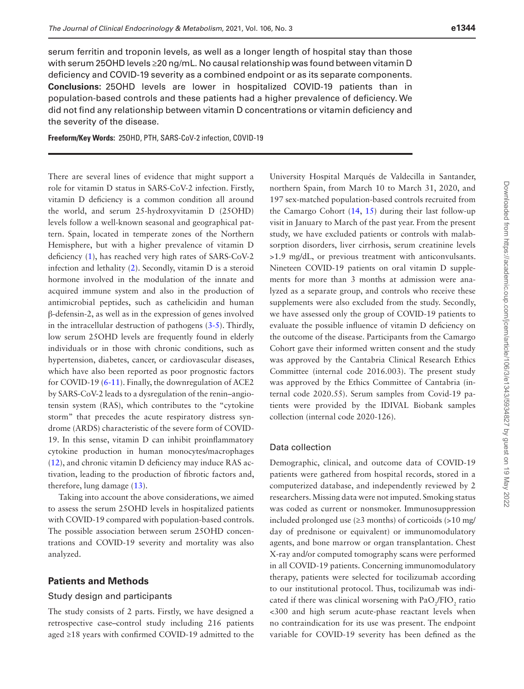serum ferritin and troponin levels, as well as a longer length of hospital stay than those with serum 25OHD levels ≥20 ng/mL. No causal relationship was found between vitamin D deficiency and COVID-19 severity as a combined endpoint or as its separate components. **Conclusions:** 25OHD levels are lower in hospitalized COVID-19 patients than in population-based controls and these patients had a higher prevalence of deficiency. We did not find any relationship between vitamin D concentrations or vitamin deficiency and the severity of the disease.

**Freeform/Key Words:** 25OHD, PTH, SARS-CoV-2 infection, COVID-19

There are several lines of evidence that might support a role for vitamin D status in SARS-CoV-2 infection. Firstly, vitamin D deficiency is a common condition all around the world, and serum 25-hydroxyvitamin D (25OHD) levels follow a well-known seasonal and geographical pattern. Spain, located in temperate zones of the Northern Hemisphere, but with a higher prevalence of vitamin D deficiency ([1\)](#page-9-0), has reached very high rates of SARS-CoV-2 infection and lethality ([2\)](#page-9-1). Secondly, vitamin D is a steroid hormone involved in the modulation of the innate and acquired immune system and also in the production of antimicrobial peptides, such as cathelicidin and human β-defensin-2, as well as in the expression of genes involved in the intracellular destruction of pathogens [\(3](#page-9-2)-[5\)](#page-9-3). Thirdly, low serum 25OHD levels are frequently found in elderly individuals or in those with chronic conditions, such as hypertension, diabetes, cancer, or cardiovascular diseases, which have also been reported as poor prognostic factors for COVID-19 ([6](#page-9-4)[-11](#page-9-5)). Finally, the downregulation of ACE2 by SARS-CoV-2 leads to a dysregulation of the renin–angiotensin system (RAS), which contributes to the "cytokine storm" that precedes the acute respiratory distress syndrome (ARDS) characteristic of the severe form of COVID-19. In this sense, vitamin D can inhibit proinflammatory cytokine production in human monocytes/macrophages ([12](#page-9-6)), and chronic vitamin D deficiency may induce RAS activation, leading to the production of fibrotic factors and, therefore, lung damage ([13](#page-9-7)).

Taking into account the above considerations, we aimed to assess the serum 25OHD levels in hospitalized patients with COVID-19 compared with population-based controls. The possible association between serum 25OHD concentrations and COVID-19 severity and mortality was also analyzed.

## **Patients and Methods**

### Study design and participants

The study consists of 2 parts. Firstly, we have designed a retrospective case–control study including 216 patients aged ≥18 years with confirmed COVID-19 admitted to the

University Hospital Marqués de Valdecilla in Santander, northern Spain, from March 10 to March 31, 2020, and 197 sex-matched population-based controls recruited from the Camargo Cohort ([14](#page-9-8), [15](#page-10-0)) during their last follow-up visit in January to March of the past year. From the present study, we have excluded patients or controls with malabsorption disorders, liver cirrhosis, serum creatinine levels >1.9 mg/dL, or previous treatment with anticonvulsants. Nineteen COVID-19 patients on oral vitamin D supplements for more than 3 months at admission were analyzed as a separate group, and controls who receive these supplements were also excluded from the study. Secondly, we have assessed only the group of COVID-19 patients to evaluate the possible influence of vitamin D deficiency on the outcome of the disease. Participants from the Camargo Cohort gave their informed written consent and the study was approved by the Cantabria Clinical Research Ethics Committee (internal code 2016.003). The present study was approved by the Ethics Committee of Cantabria (internal code 2020.55). Serum samples from Covid-19 patients were provided by the IDIVAL Biobank samples collection (internal code 2020-126).

## Data collection

Demographic, clinical, and outcome data of COVID-19 patients were gathered from hospital records, stored in a computerized database, and independently reviewed by 2 researchers. Missing data were not imputed. Smoking status was coded as current or nonsmoker. Immunosuppression included prolonged use  $(\geq 3 \text{ months})$  of corticoids  $(\geq 10 \text{ mg/s})$ day of prednisone or equivalent) or immunomodulatory agents, and bone marrow or organ transplantation. Chest X-ray and/or computed tomography scans were performed in all COVID-19 patients. Concerning immunomodulatory therapy, patients were selected for tocilizumab according to our institutional protocol. Thus, tocilizumab was indicated if there was clinical worsening with  $PaO_2/FIO_2$  ratio <300 and high serum acute-phase reactant levels when no contraindication for its use was present. The endpoint variable for COVID-19 severity has been defined as the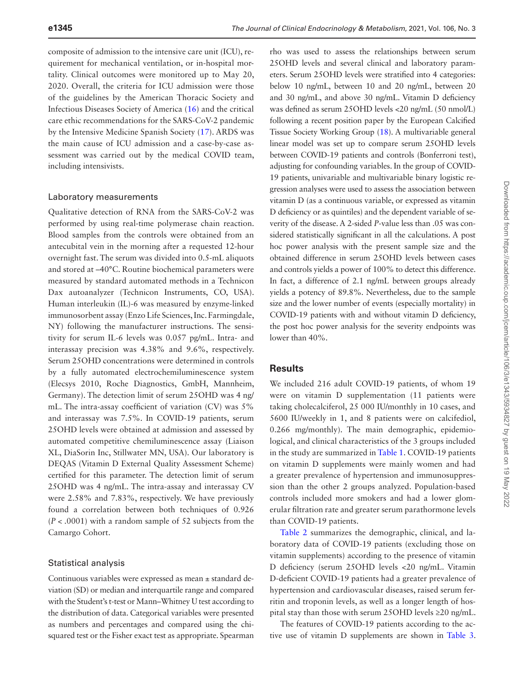composite of admission to the intensive care unit (ICU), requirement for mechanical ventilation, or in-hospital mortality. Clinical outcomes were monitored up to May 20, 2020. Overall, the criteria for ICU admission were those of the guidelines by the American Thoracic Society and Infectious Diseases Society of America ([16](#page-10-1)) and the critical care ethic recommendations for the SARS-CoV-2 pandemic by the Intensive Medicine Spanish Society [\(17\)](#page-10-2). ARDS was the main cause of ICU admission and a case-by-case assessment was carried out by the medical COVID team, including intensivists.

#### Laboratory measurements

Qualitative detection of RNA from the SARS-CoV-2 was performed by using real-time polymerase chain reaction. Blood samples from the controls were obtained from an antecubital vein in the morning after a requested 12-hour overnight fast. The serum was divided into 0.5-mL aliquots and stored at –40°C. Routine biochemical parameters were measured by standard automated methods in a Technicon Dax autoanalyzer (Technicon Instruments, CO, USA). Human interleukin (IL)-6 was measured by enzyme-linked immunosorbent assay (Enzo Life Sciences, Inc. Farmingdale, NY) following the manufacturer instructions. The sensitivity for serum IL-6 levels was 0.057 pg/mL. Intra- and interassay precision was 4.38% and 9.6%, respectively. Serum 25OHD concentrations were determined in controls by a fully automated electrochemiluminescence system (Elecsys 2010, Roche Diagnostics, GmbH, Mannheim, Germany). The detection limit of serum 25OHD was 4 ng/ mL. The intra-assay coefficient of variation (CV) was 5% and interassay was 7.5%. In COVID-19 patients, serum 25OHD levels were obtained at admission and assessed by automated competitive chemiluminescence assay (Liaison XL, DiaSorin Inc, Stillwater MN, USA). Our laboratory is DEQAS (Vitamin D External Quality Assessment Scheme) certified for this parameter. The detection limit of serum 25OHD was 4 ng/mL. The intra-assay and interassay CV were 2.58% and 7.83%, respectively. We have previously found a correlation between both techniques of 0.926 (*P* < .0001) with a random sample of 52 subjects from the Camargo Cohort.

#### Statistical analysis

Continuous variables were expressed as mean ± standard deviation (SD) or median and interquartile range and compared with the Student's t-test or Mann–Whitney U test according to the distribution of data. Categorical variables were presented as numbers and percentages and compared using the chisquared test or the Fisher exact test as appropriate. Spearman

rho was used to assess the relationships between serum 25OHD levels and several clinical and laboratory parameters. Serum 25OHD levels were stratified into 4 categories: below 10 ng/mL, between 10 and 20 ng/mL, between 20 and 30 ng/mL, and above 30 ng/mL. Vitamin D deficiency was defined as serum 25OHD levels <20 ng/mL (50 nmol/L) following a recent position paper by the European Calcified Tissue Society Working Group ([18\)](#page-10-3). A multivariable general linear model was set up to compare serum 25OHD levels between COVID-19 patients and controls (Bonferroni test), adjusting for confounding variables. In the group of COVID-19 patients, univariable and multivariable binary logistic regression analyses were used to assess the association between vitamin D (as a continuous variable, or expressed as vitamin D deficiency or as quintiles) and the dependent variable of severity of the disease. A 2-sided *P*-value less than .05 was considered statistically significant in all the calculations. A post hoc power analysis with the present sample size and the obtained difference in serum 25OHD levels between cases and controls yields a power of 100% to detect this difference. In fact, a difference of 2.1 ng/mL between groups already yields a potency of 89.8%. Nevertheless, due to the sample size and the lower number of events (especially mortality) in COVID-19 patients with and without vitamin D deficiency, the post hoc power analysis for the severity endpoints was lower than 40%.

## **Results**

We included 216 adult COVID-19 patients, of whom 19 were on vitamin D supplementation (11 patients were taking cholecalciferol, 25 000 IU/monthly in 10 cases, and 5600 IU/weekly in 1, and 8 patients were on calcifediol, 0.266 mg/monthly). The main demographic, epidemiological, and clinical characteristics of the 3 groups included in the study are summarized in [Table 1.](#page-3-0) COVID-19 patients on vitamin D supplements were mainly women and had a greater prevalence of hypertension and immunosuppression than the other 2 groups analyzed. Population-based controls included more smokers and had a lower glomerular filtration rate and greater serum parathormone levels than COVID-19 patients.

[Table 2](#page-4-0) summarizes the demographic, clinical, and laboratory data of COVID-19 patients (excluding those on vitamin supplements) according to the presence of vitamin D deficiency (serum 25OHD levels <20 ng/mL. Vitamin D-deficient COVID-19 patients had a greater prevalence of hypertension and cardiovascular diseases, raised serum ferritin and troponin levels, as well as a longer length of hospital stay than those with serum 25OHD levels ≥20 ng/mL.

The features of COVID-19 patients according to the active use of vitamin D supplements are shown in [Table 3](#page-5-0).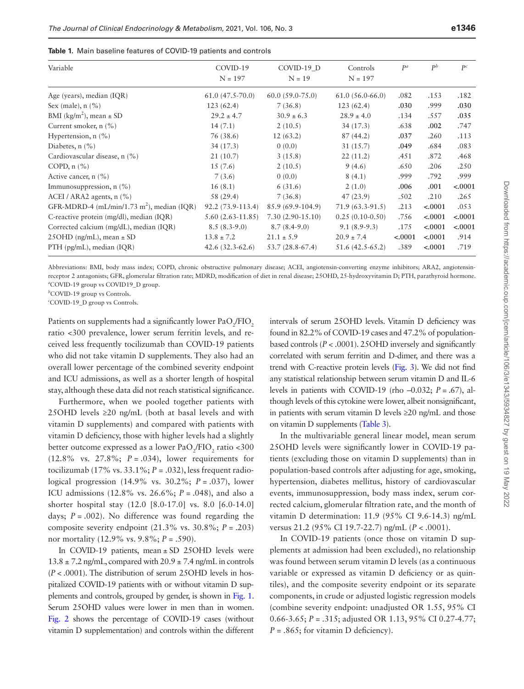<span id="page-3-0"></span>

|  | <b>Table 1.</b> Main baseline features of COVID-19 patients and controls |
|--|--------------------------------------------------------------------------|

| Variable                                               | COVID-19<br>$N = 197$ | COVID-19 D<br>$N = 19$ | Controls<br>$N = 197$ | $P^a$    | $P^b$    | $P^c$    |
|--------------------------------------------------------|-----------------------|------------------------|-----------------------|----------|----------|----------|
| Age (years), median (IQR)                              | $61.0(47.5-70.0)$     | $60.0(59.0-75.0)$      | $61.0(56.0-66.0)$     | .082     | .153     | .182     |
| Sex (male), $n$ (%)                                    | 123(62.4)             | 7(36.8)                | 123(62.4)             | .030     | .999     | .030     |
| BMI ( $\text{kg/m}^2$ ), mean $\pm$ SD                 | $29.2 \pm 4.7$        | $30.9 \pm 6.3$         | $28.9 \pm 4.0$        | .134     | .557     | .035     |
| Current smoker, n (%)                                  | 14(7.1)               | 2(10.5)                | 34(17.3)              | .638     | .002     | .747     |
| Hypertension, $n$ (%)                                  | 76 (38.6)             | 12(63.2)               | 87(44.2)              | .037     | .260     | .113     |
| Diabetes, $n$ $(\%)$                                   | 34(17.3)              | 0(0.0)                 | 31(15.7)              | .049     | .684     | .083     |
| Cardiovascular disease, n (%)                          | 21(10.7)              | 3(15.8)                | 22(11.2)              | .451     | .872     | .468     |
| COPD, $n$ $\left(\frac{\%}{6}\right)$                  | 15(7.6)               | 2(10.5)                | 9(4.6)                | .650     | .206     | .250     |
| Active cancer, $n$ (%)                                 | 7(3.6)                | 0(0.0)                 | 8(4.1)                | .999     | .792     | .999     |
| Immunosuppression, $n$ (%)                             | 16(8.1)               | 6(31.6)                | 2(1.0)                | .006     | .001     | $-.0001$ |
| ACEI / ARA2 agents, $n$ (%)                            | 58 (29.4)             | 7(36.8)                | 47(23.9)              | .502     | .210     | .265     |
| GFR-MDRD-4 (mL/min/1.73 m <sup>2</sup> ), median (IQR) | 92.2 (73.9-113.4)     | 85.9 (69.9-104.9)      | $71.9(63.3-91.5)$     | .213     | $-.0001$ | .053     |
| C-reactive protein (mg/dl), median (IQR)               | $5.60(2.63 - 11.85)$  | $7.30(2.90-15.10)$     | $0.25(0.10-0.50)$     | .756     | $-.0001$ | $-.0001$ |
| Corrected calcium (mg/dL), median (IQR)                | $8.5(8.3-9.0)$        | $8.7(8.4-9.0)$         | $9.1(8.9-9.3)$        | .175     | < .0001  | $-.0001$ |
| 25 OHD (ng/mL), mean $\pm$ SD                          | $13.8 \pm 7.2$        | $21.1 \pm 5.9$         | $20.9 \pm 7.4$        | $-.0001$ | < .0001  | .914     |
| $PTH$ (pg/mL), median (IQR)                            | $42.6(32.3-62.6)$     | 53.7 (28.8-67.4)       | $51.6(42.5-65.2)$     | .389     | $-.0001$ | .719     |

Abbreviations: BMI, body mass index; COPD, chronic obstructive pulmonary disease; ACEI, angiotensin-converting enzyme inhibitors; ARA2, angiotensinreceptor 2 antagonists; GFR, glomerular filtration rate; MDRD, modification of diet in renal disease; 25OHD, 25-hydroxyvitamin D; PTH, parathyroid hormone. *a* COVID-19 group vs COVID19\_D group.

*b* COVID-19 group vs Controls.

*c* COVID-19\_D group vs Controls.

Patients on supplements had a significantly lower  $\text{PaO}_2/\text{FIO}_2$ ratio <300 prevalence, lower serum ferritin levels, and received less frequently tocilizumab than COVID-19 patients who did not take vitamin D supplements. They also had an overall lower percentage of the combined severity endpoint and ICU admissions, as well as a shorter length of hospital stay, although these data did not reach statistical significance.

Furthermore, when we pooled together patients with 25OHD levels  $\geq$ 20 ng/mL (both at basal levels and with vitamin D supplements) and compared with patients with vitamin D deficiency, those with higher levels had a slightly better outcome expressed as a lower  $PaO_2/FIO_2$  ratio <300 (12.8% vs. 27.8%; *P* = .034), lower requirements for tocilizumab (17% vs.  $33.1\%$ ;  $P = .032$ ), less frequent radiological progression (14.9% vs. 30.2%; *P* = .037), lower ICU admissions (12.8% vs. 26.6%; *P* = .048), and also a shorter hospital stay (12.0 [8.0-17.0] vs. 8.0 [6.0-14.0] days;  $P = .002$ ). No difference was found regarding the composite severity endpoint (21.3% vs. 30.8%; *P* = .203) nor mortality (12.9% vs. 9.8%; *P* = .590).

In COVID-19 patients, mean  $\pm$  SD 25OHD levels were  $13.8 \pm 7.2$  ng/mL, compared with  $20.9 \pm 7.4$  ng/mL in controls (*P* < .0001). The distribution of serum 25OHD levels in hospitalized COVID-19 patients with or without vitamin D supplements and controls, grouped by gender, is shown in [Fig. 1](#page-6-0). Serum 25OHD values were lower in men than in women. [Fig. 2](#page-6-1) shows the percentage of COVID-19 cases (without vitamin D supplementation) and controls within the different

intervals of serum 25OHD levels. Vitamin D deficiency was found in 82.2% of COVID-19 cases and 47.2% of populationbased controls (*P* < .0001). 25OHD inversely and significantly correlated with serum ferritin and D-dimer, and there was a trend with C-reactive protein levels ([Fig. 3\)](#page-7-0). We did not find any statistical relationship between serum vitamin D and IL-6 levels in patients with COVID-19 (rho –0.032; *P* = .67), although levels of this cytokine were lower, albeit nonsignificant, in patients with serum vitamin D levels ≥20 ng/mL and those on vitamin D supplements [\(Table 3](#page-5-0)).

In the multivariable general linear model, mean serum 25OHD levels were significantly lower in COVID-19 patients (excluding those on vitamin D supplements) than in population-based controls after adjusting for age, smoking, hypertension, diabetes mellitus, history of cardiovascular events, immunosuppression, body mass index, serum corrected calcium, glomerular filtration rate, and the month of vitamin D determination: 11.9 (95% CI 9.6-14.3) ng/mL versus 21.2 (95% CI 19.7-22.7) ng/mL (*P* < .0001).

In COVID-19 patients (once those on vitamin D supplements at admission had been excluded), no relationship was found between serum vitamin D levels (as a continuous variable or expressed as vitamin D deficiency or as quintiles), and the composite severity endpoint or its separate components, in crude or adjusted logistic regression models (combine severity endpoint: unadjusted OR 1.55, 95% CI 0.66-3.65; *P* = .315; adjusted OR 1.13, 95% CI 0.27-4.77;  $P = .865$ ; for vitamin D deficiency).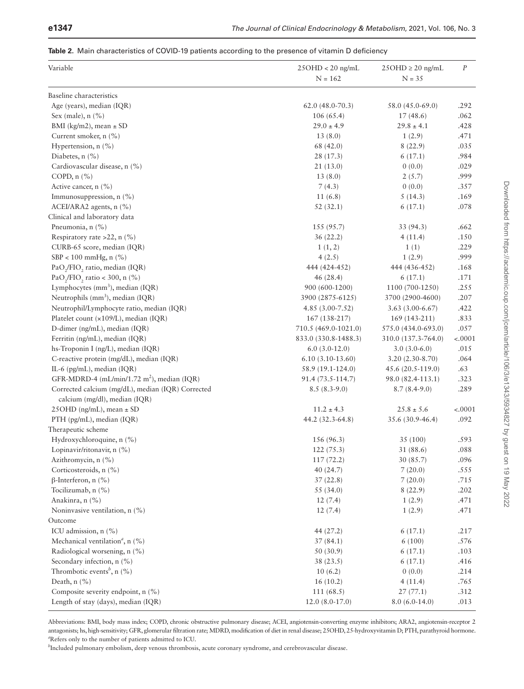#### <span id="page-4-0"></span>**Table 2.** Main characteristics of COVID-19 patients according to the presence of vitamin D deficiency

| Variable                                                                                     | $25OHD < 20$ ng/mL                      | $25OHD \geq 20$ ng/mL                 | $\cal P$         |
|----------------------------------------------------------------------------------------------|-----------------------------------------|---------------------------------------|------------------|
|                                                                                              | $N = 162$                               | $N = 35$                              |                  |
|                                                                                              |                                         |                                       |                  |
| Baseline characteristics                                                                     |                                         |                                       |                  |
| Age (years), median (IQR)                                                                    | $62.0(48.0-70.3)$                       | 58.0 (45.0-69.0)<br>17(48.6)          | .292<br>.062     |
| Sex (male), $n$ (%)                                                                          | 106(65.4)<br>$29.0 \pm 4.9$             | $29.8 \pm 4.1$                        | .428             |
| BMI (kg/m2), mean $\pm$ SD<br>Current smoker, n (%)                                          | 13(8.0)                                 | 1(2.9)                                | .471             |
| Hypertension, $n$ (%)                                                                        | 68 (42.0)                               | 8(22.9)                               | .035             |
| Diabetes, $n$ (%)                                                                            | 28 (17.3)                               | 6(17.1)                               | .984             |
| Cardiovascular disease, n (%)                                                                | 21 (13.0)                               | 0(0.0)                                | .029             |
| COPD, $n$ $(\%)$                                                                             | 13(8.0)                                 | 2(5.7)                                | .999             |
| Active cancer, n (%)                                                                         | 7(4.3)                                  | 0(0.0)                                | .357             |
| Immunosuppression, n (%)                                                                     | 11(6.8)                                 | 5(14.3)                               | .169             |
| ACEI/ARA2 agents, n (%)                                                                      | 52(32.1)                                | 6(17.1)                               | .078             |
| Clinical and laboratory data                                                                 |                                         |                                       |                  |
| Pneumonia, n (%)                                                                             | 155 (95.7)                              | 33 (94.3)                             | .662             |
|                                                                                              |                                         |                                       |                  |
| Respiratory rate >22, n $(\% )$                                                              | 36(22.2)                                | 4(11.4)                               | .150             |
| CURB-65 score, median (IQR)<br>$SBP < 100$ mmHg, n $(\% )$                                   | 1(1, 2)                                 | 1(1)                                  | .229<br>.999     |
|                                                                                              | 4(2.5)                                  | 1(2.9)                                |                  |
| PaO <sub>2</sub> /FIO <sub>2</sub> ratio, median (IQR)                                       | 444 (424-452)                           | 444 (436-452)                         | .168             |
| PaO <sub>2</sub> /FIO <sub>2</sub> ratio < 300, n $(\% )$                                    | 46(28.4)                                | 6(17.1)                               | .171             |
| Lymphocytes (mm <sup>3</sup> ), median (IQR)<br>Neutrophils (mm <sup>3</sup> ), median (IQR) | 900 (600-1200)<br>3900 (2875-6125)      | 1100 (700-1250)<br>3700 (2900-4600)   | .255             |
| Neutrophil/Lymphocyte ratio, median (IQR)                                                    | $4.85(3.00-7.52)$                       |                                       | .207             |
| Platelet count (x109/L), median (IQR)                                                        | 167 (138-217)                           | $3.63(3.00-6.67)$<br>$169(143-211)$   | .422<br>.833     |
|                                                                                              |                                         |                                       |                  |
| D-dimer (ng/mL), median (IQR)                                                                | 710.5 (469.0-1021.0)                    | 575.0 (434.0-693.0)                   | .057             |
| Ferritin (ng/mL), median (IQR)                                                               | 833.0 (330.8-1488.3)<br>$6.0(3.0-12.0)$ | 310.0 (137.3-764.0)<br>$3.0(3.0-6.0)$ | $-.0001$<br>.015 |
| hs-Troponin I (ng/L), median (IQR)<br>C-reactive protein (mg/dL), median (IQR)               | $6.10(3.10-13.60)$                      | $3.20(2.30-8.70)$                     | .064             |
| IL-6 (pg/mL), median (IQR)                                                                   | 58.9 (19.1-124.0)                       | 45.6 $(20.5-119.0)$                   | .63              |
| GFR-MDRD-4 (mL/min/1.72 m <sup>2</sup> ), median (IQR)                                       | 91.4 (73.5-114.7)                       | 98.0 (82.4-113.1)                     | .323             |
| Corrected calcium (mg/dL), median (IQR) Corrected                                            | $8.5(8.3-9.0)$                          | $8.7(8.4-9.0)$                        | .289             |
| calcium (mg/dl), median (IQR)                                                                |                                         |                                       |                  |
| 25OHD (ng/mL), mean $\pm$ SD                                                                 | $11.2 \pm 4.3$                          | $25.8 \pm 5.6$                        | $-.0001$         |
| PTH (pg/mL), median (IQR)                                                                    | 44.2 (32.3-64.8)                        | 35.6 (30.9-46.4)                      | .092             |
| Therapeutic scheme                                                                           |                                         |                                       |                  |
| Hydroxychloroquine, n (%)                                                                    | 156 (96.3)                              | 35 (100)                              | .593             |
| Lopinavir/ritonavir, n (%)                                                                   | 122(75.3)                               | 31 (88.6)                             | .088             |
| Azithromycin, n (%)                                                                          | 117(72.2)                               | 30 (85.7)                             | .096             |
| Corticosteroids, n (%)                                                                       | 40 (24.7)                               | 7(20.0)                               | .555             |
| $\beta$ -Interferon, n (%)                                                                   | 37(22.8)                                | 7(20.0)                               | .715             |
| Tocilizumab, n (%)                                                                           | 55 (34.0)                               | 8(22.9)                               | .202             |
| Anakinra, n (%)                                                                              | 12(7.4)                                 | 1(2.9)                                | .471             |
| Noninvasive ventilation, n (%)                                                               | 12(7.4)                                 | 1(2.9)                                | .471             |
| Outcome                                                                                      |                                         |                                       |                  |
| ICU admission, n (%)                                                                         | 44 (27.2)                               | 6(17.1)                               | .217             |
| Mechanical ventilation <sup><i>a</i></sup> , n $(%)$                                         | 37(84.1)                                | 6(100)                                | .576             |
| Radiological worsening, n (%)                                                                | 50 (30.9)                               | 6(17.1)                               | .103             |
| Secondary infection, n (%)                                                                   | 38 (23.5)                               | 6(17.1)                               | .416             |
| Thrombotic events <sup>b</sup> , n $(\% )$                                                   | 10(6.2)                                 | 0(0.0)                                | .214             |
| Death, $n$ (%)                                                                               | 16(10.2)                                | 4(11.4)                               | .765             |
| Composite severity endpoint, n (%)                                                           | 111(68.5)                               | 27(77.1)                              | .312             |
| Length of stay (days), median (IQR)                                                          | $12.0(8.0-17.0)$                        | $8.0(6.0-14.0)$                       | .013             |
|                                                                                              |                                         |                                       |                  |

Abbreviations: BMI, body mass index; COPD, chronic obstructive pulmonary disease; ACEI, angiotensin-converting enzyme inhibitors; ARA2, angiotensin-receptor 2 antagonists; hs, high-sensitivity; GFR, glomerular filtration rate; MDRD, modification of diet in renal disease; 25OHD, 25-hydroxyvitamin D; PTH, parathyroid hormone. *a* Refers only to the number of patients admitted to ICU.

*b* Included pulmonary embolism, deep venous thrombosis, acute coronary syndrome, and cerebrovascular disease.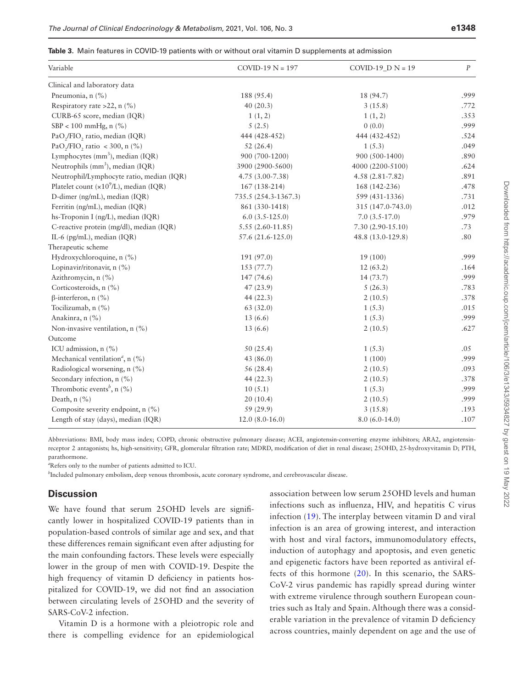#### <span id="page-5-0"></span>**Table 3.** Main features in COVID-19 patients with or without oral vitamin D supplements at admission

| Variable                                                  | $COVID-19 N = 197$   | COVID-19 $D N = 19$ | $\cal P$ |
|-----------------------------------------------------------|----------------------|---------------------|----------|
| Clinical and laboratory data                              |                      |                     |          |
| Pneumonia, n (%)                                          | 188 (95.4)           | 18 (94.7)           | .999     |
| Respiratory rate >22, $n$ (%)                             | 40(20.3)             | 3(15.8)             | .772     |
| CURB-65 score, median (IQR)                               | 1(1, 2)              | 1(1, 2)             | .353     |
| $SBP < 100$ mmHg, n $(\% )$                               | 5(2.5)               | 0(0.0)              | .999     |
| PaO <sub>2</sub> /FIO <sub>2</sub> ratio, median (IQR)    | 444 (428-452)        | 444 (432-452)       | .524     |
| PaO <sub>2</sub> /FIO <sub>2</sub> ratio < 300, n $(\% )$ | 52(26.4)             | 1(5.3)              | .049     |
| Lymphocytes (mm <sup>3</sup> ), median (IQR)              | 900 (700-1200)       | 900 (500-1400)      | .890     |
| Neutrophils (mm <sup>3</sup> ), median (IQR)              | 3900 (2900-5600)     | 4000 (2200-5100)    | .624     |
| Neutrophil/Lymphocyte ratio, median (IQR)                 | $4.75(3.00 - 7.38)$  | $4.58(2.81 - 7.82)$ | .891     |
| Platelet count $(x109/L)$ , median (IQR)                  | 167 (138-214)        | 168 (142-236)       | .478     |
| D-dimer (ng/mL), median (IQR)                             | 735.5 (254.3-1367.3) | 599 (431-1336)      | .731     |
| Ferritin (ng/mL), median (IQR)                            | 861 (330-1418)       | 315 (147.0-743.0)   | .012     |
| hs-Troponin I (ng/L), median (IQR)                        | $6.0(3.5-125.0)$     | $7.0(3.5-17.0)$     | .979     |
| C-reactive protein (mg/dl), median (IQR)                  | $5.55(2.60-11.85)$   | $7.30(2.90-15.10)$  | .73      |
| IL-6 (pg/mL), median (IQR)                                | 57.6 (21.6-125.0)    | 48.8 (13.0-129.8)   | .80      |
| Therapeutic scheme                                        |                      |                     |          |
| Hydroxychloroquine, n (%)                                 | 191 (97.0)           | 19 (100)            | .999     |
| Lopinavir/ritonavir, n (%)                                | 153 (77.7)           | 12(63.2)            | .164     |
| Azithromycin, n (%)                                       | 147 (74.6)           | 14(73.7)            | .999     |
| Corticosteroids, n (%)                                    | 47(23.9)             | 5(26.3)             | .783     |
| $\beta$ -interferon, n (%)                                | 44 $(22.3)$          | 2(10.5)             | .378     |
| Tocilizumab, n (%)                                        | 63(32.0)             | 1(5.3)              | .015     |
| Anakinra, n (%)                                           | 13(6.6)              | 1(5.3)              | .999     |
| Non-invasive ventilation, n (%)                           | 13(6.6)              | 2(10.5)             | .627     |
| Outcome                                                   |                      |                     |          |
| ICU admission, n (%)                                      | 50(25.4)             | 1(5.3)              | .05      |
| Mechanical ventilation <sup>a</sup> , n (%)               | 43 (86.0)            | 1(100)              | .999     |
| Radiological worsening, n (%)                             | 56 (28.4)            | 2(10.5)             | .093     |
| Secondary infection, n (%)                                | 44 (22.3)            | 2(10.5)             | .378     |
| Thrombotic events <sup>b</sup> , n $(\% )$                | 10(5.1)              | 1(5.3)              | .999     |
| Death, $n$ (%)                                            | 20(10.4)             | 2(10.5)             | .999     |
| Composite severity endpoint, n (%)                        | 59 (29.9)            | 3(15.8)             | .193     |
| Length of stay (days), median (IQR)                       | $12.0(8.0-16.0)$     | $8.0(6.0-14.0)$     | .107     |

Abbreviations: BMI, body mass index; COPD, chronic obstructive pulmonary disease; ACEI, angiotensin-converting enzyme inhibitors; ARA2, angiotensinreceptor 2 antagonists; hs, high-sensitivity; GFR, glomerular filtration rate; MDRD, modification of diet in renal disease; 25OHD, 25-hydroxyvitamin D; PTH, parathormone.

*a* Refers only to the number of patients admitted to ICU.

*b* Included pulmonary embolism, deep venous thrombosis, acute coronary syndrome, and cerebrovascular disease.

## **Discussion**

We have found that serum 25OHD levels are significantly lower in hospitalized COVID-19 patients than in population-based controls of similar age and sex, and that these differences remain significant even after adjusting for the main confounding factors. These levels were especially lower in the group of men with COVID-19. Despite the high frequency of vitamin D deficiency in patients hospitalized for COVID-19, we did not find an association between circulating levels of 25OHD and the severity of SARS-CoV-2 infection.

Vitamin D is a hormone with a pleiotropic role and there is compelling evidence for an epidemiological association between low serum 25OHD levels and human infections such as influenza, HIV, and hepatitis C virus infection [\(19\)](#page-10-4). The interplay between vitamin D and viral infection is an area of growing interest, and interaction with host and viral factors, immunomodulatory effects, induction of autophagy and apoptosis, and even genetic and epigenetic factors have been reported as antiviral effects of this hormone ([20](#page-10-5)). In this scenario, the SARS-CoV-2 virus pandemic has rapidly spread during winter with extreme virulence through southern European countries such as Italy and Spain. Although there was a considerable variation in the prevalence of vitamin D deficiency across countries, mainly dependent on age and the use of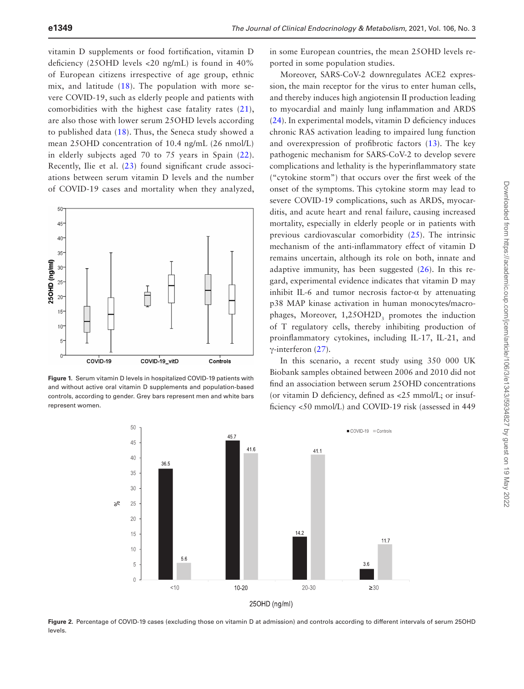vitamin D supplements or food fortification, vitamin D deficiency (25OHD levels <20 ng/mL) is found in 40% of European citizens irrespective of age group, ethnic mix, and latitude [\(18\)](#page-10-3). The population with more severe COVID-19, such as elderly people and patients with comorbidities with the highest case fatality rates ([21](#page-10-6)), are also those with lower serum 25OHD levels according to published data [\(18\)](#page-10-3). Thus, the Seneca study showed a mean 25OHD concentration of 10.4 ng/mL (26 nmol/L) in elderly subjects aged 70 to 75 years in Spain ([22](#page-10-7)). Recently, Ilie et al. ([23](#page-10-8)) found significant crude associations between serum vitamin D levels and the number of COVID-19 cases and mortality when they analyzed,



<span id="page-6-0"></span>**Figure 1.** Serum vitamin D levels in hospitalized COVID-19 patients with and without active oral vitamin D supplements and population-based controls, according to gender. Grey bars represent men and white bars represent women.

in some European countries, the mean 25OHD levels reported in some population studies.

Moreover, SARS-CoV-2 downregulates ACE2 expression, the main receptor for the virus to enter human cells, and thereby induces high angiotensin II production leading to myocardial and mainly lung inflammation and ARDS ([24](#page-10-9)). In experimental models, vitamin D deficiency induces chronic RAS activation leading to impaired lung function and overexpression of profibrotic factors ([13\)](#page-9-7). The key pathogenic mechanism for SARS-CoV-2 to develop severe complications and lethality is the hyperinflammatory state ("cytokine storm") that occurs over the first week of the onset of the symptoms. This cytokine storm may lead to severe COVID-19 complications, such as ARDS, myocarditis, and acute heart and renal failure, causing increased mortality, especially in elderly people or in patients with previous cardiovascular comorbidity ([25](#page-10-10)). The intrinsic mechanism of the anti-inflammatory effect of vitamin D remains uncertain, although its role on both, innate and adaptive immunity, has been suggested [\(26\)](#page-10-11). In this regard, experimental evidence indicates that vitamin D may inhibit IL-6 and tumor necrosis factor- $\alpha$  by attenuating p38 MAP kinase activation in human monocytes/macrophages, Moreover, 1,25OH2D<sub>3</sub> promotes the induction of T regulatory cells, thereby inhibiting production of proinflammatory cytokines, including IL-17, IL-21, and γ-interferon ([27](#page-10-12)).

In this scenario, a recent study using 350 000 UK Biobank samples obtained between 2006 and 2010 did not find an association between serum 25OHD concentrations (or vitamin D deficiency, defined as <25 mmol/L; or insufficiency <50 mmol/L) and COVID-19 risk (assessed in 449



<span id="page-6-1"></span>**Figure 2.** Percentage of COVID-19 cases (excluding those on vitamin D at admission) and controls according to different intervals of serum 25OHD levels.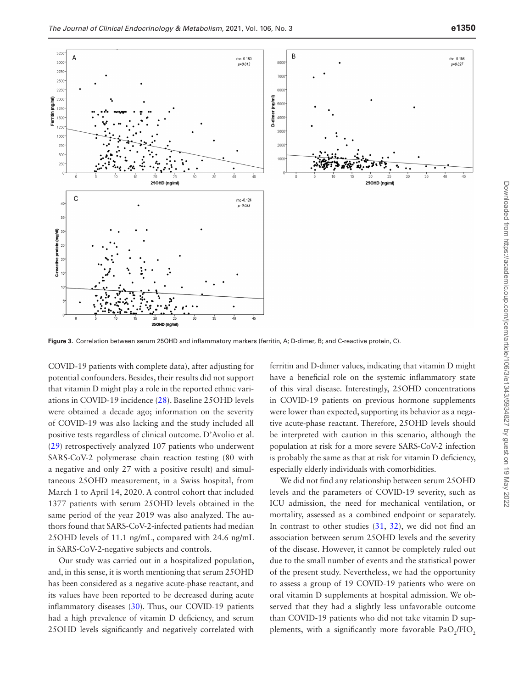

<span id="page-7-0"></span>**Figure 3.** Correlation between serum 25OHD and inflammatory markers (ferritin, A; D-dimer, B; and C-reactive protein, C).

COVID-19 patients with complete data), after adjusting for potential confounders. Besides, their results did not support that vitamin D might play a role in the reported ethnic variations in COVID-19 incidence ([28\)](#page-10-13). Baseline 25OHD levels were obtained a decade ago; information on the severity of COVID-19 was also lacking and the study included all positive tests regardless of clinical outcome. D'Avolio et al. ([29](#page-10-14)) retrospectively analyzed 107 patients who underwent SARS-CoV-2 polymerase chain reaction testing (80 with a negative and only 27 with a positive result) and simultaneous 25OHD measurement, in a Swiss hospital, from March 1 to April 14, 2020. A control cohort that included 1377 patients with serum 25OHD levels obtained in the same period of the year 2019 was also analyzed. The authors found that SARS-CoV-2-infected patients had median 25OHD levels of 11.1 ng/mL, compared with 24.6 ng/mL in SARS-CoV-2-negative subjects and controls.

Our study was carried out in a hospitalized population, and, in this sense, it is worth mentioning that serum 25OHD has been considered as a negative acute-phase reactant, and its values have been reported to be decreased during acute inflammatory diseases ([30\)](#page-10-15). Thus, our COVID-19 patients had a high prevalence of vitamin D deficiency, and serum 25OHD levels significantly and negatively correlated with

ferritin and D-dimer values, indicating that vitamin D might have a beneficial role on the systemic inflammatory state of this viral disease. Interestingly, 25OHD concentrations in COVID-19 patients on previous hormone supplements were lower than expected, supporting its behavior as a negative acute-phase reactant. Therefore, 25OHD levels should be interpreted with caution in this scenario, although the population at risk for a more severe SARS-CoV-2 infection is probably the same as that at risk for vitamin D deficiency, especially elderly individuals with comorbidities.

We did not find any relationship between serum 25OHD levels and the parameters of COVID-19 severity, such as ICU admission, the need for mechanical ventilation, or mortality, assessed as a combined endpoint or separately. In contrast to other studies [\(31,](#page-10-16) [32](#page-10-17)), we did not find an association between serum 25OHD levels and the severity of the disease. However, it cannot be completely ruled out due to the small number of events and the statistical power of the present study. Nevertheless, we had the opportunity to assess a group of 19 COVID-19 patients who were on oral vitamin D supplements at hospital admission. We observed that they had a slightly less unfavorable outcome than COVID-19 patients who did not take vitamin D supplements, with a significantly more favorable  $PaO_2/FIO_2$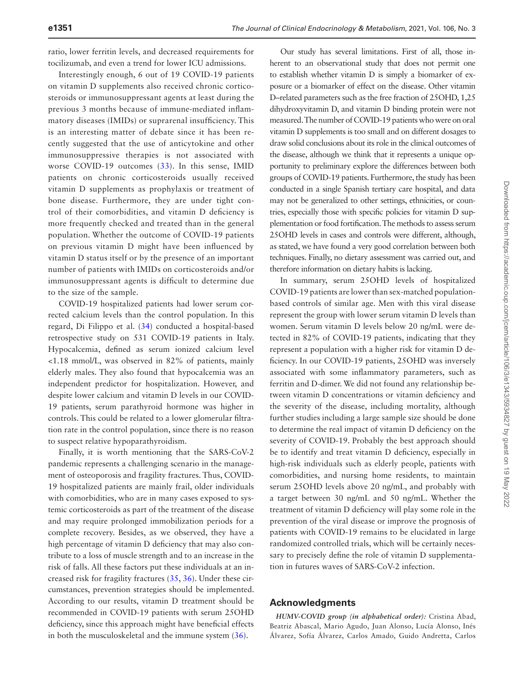ratio, lower ferritin levels, and decreased requirements for tocilizumab, and even a trend for lower ICU admissions.

Interestingly enough, 6 out of 19 COVID-19 patients on vitamin D supplements also received chronic corticosteroids or immunosuppressant agents at least during the previous 3 months because of immune-mediated inflammatory diseases (IMIDs) or suprarenal insufficiency. This is an interesting matter of debate since it has been recently suggested that the use of anticytokine and other immunosuppressive therapies is not associated with worse COVID-19 outcomes ([33\)](#page-10-18). In this sense, IMID patients on chronic corticosteroids usually received vitamin D supplements as prophylaxis or treatment of bone disease. Furthermore, they are under tight control of their comorbidities, and vitamin D deficiency is more frequently checked and treated than in the general population. Whether the outcome of COVID-19 patients on previous vitamin D might have been influenced by vitamin D status itself or by the presence of an important number of patients with IMIDs on corticosteroids and/or immunosuppressant agents is difficult to determine due to the size of the sample.

COVID-19 hospitalized patients had lower serum corrected calcium levels than the control population. In this regard, Di Filippo et al. [\(34](#page-10-19)) conducted a hospital-based retrospective study on 531 COVID-19 patients in Italy. Hypocalcemia, defined as serum ionized calcium level <1.18 mmol/L, was observed in 82% of patients, mainly elderly males. They also found that hypocalcemia was an independent predictor for hospitalization. However, and despite lower calcium and vitamin D levels in our COVID-19 patients, serum parathyroid hormone was higher in controls. This could be related to a lower glomerular filtration rate in the control population, since there is no reason to suspect relative hypoparathyroidism.

Finally, it is worth mentioning that the SARS-CoV-2 pandemic represents a challenging scenario in the management of osteoporosis and fragility fractures. Thus, COVID-19 hospitalized patients are mainly frail, older individuals with comorbidities, who are in many cases exposed to systemic corticosteroids as part of the treatment of the disease and may require prolonged immobilization periods for a complete recovery. Besides, as we observed, they have a high percentage of vitamin D deficiency that may also contribute to a loss of muscle strength and to an increase in the risk of falls. All these factors put these individuals at an increased risk for fragility fractures ([35](#page-10-20), [36](#page-10-21)). Under these circumstances, prevention strategies should be implemented. According to our results, vitamin D treatment should be recommended in COVID-19 patients with serum 25OHD deficiency, since this approach might have beneficial effects in both the musculoskeletal and the immune system [\(36\)](#page-10-21).

Our study has several limitations. First of all, those inherent to an observational study that does not permit one to establish whether vitamin D is simply a biomarker of exposure or a biomarker of effect on the disease. Other vitamin D–related parameters such as the free fraction of 25OHD, 1,25 dihydroxyvitamin D, and vitamin D binding protein were not measured. The number of COVID-19 patients who were on oral vitamin D supplements is too small and on different dosages to draw solid conclusions about its role in the clinical outcomes of the disease, although we think that it represents a unique opportunity to preliminary explore the differences between both groups of COVID-19 patients. Furthermore, the study has been conducted in a single Spanish tertiary care hospital, and data may not be generalized to other settings, ethnicities, or countries, especially those with specific policies for vitamin D supplementation or food fortification. The methods to assess serum 25OHD levels in cases and controls were different, although, as stated, we have found a very good correlation between both techniques. Finally, no dietary assessment was carried out, and therefore information on dietary habits is lacking.

In summary, serum 25OHD levels of hospitalized COVID-19 patients are lower than sex-matched populationbased controls of similar age. Men with this viral disease represent the group with lower serum vitamin D levels than women. Serum vitamin D levels below 20 ng/mL were detected in 82% of COVID-19 patients, indicating that they represent a population with a higher risk for vitamin D deficiency. In our COVID-19 patients, 25OHD was inversely associated with some inflammatory parameters, such as ferritin and D-dimer. We did not found any relationship between vitamin D concentrations or vitamin deficiency and the severity of the disease, including mortality, although further studies including a large sample size should be done to determine the real impact of vitamin D deficiency on the severity of COVID-19. Probably the best approach should be to identify and treat vitamin D deficiency, especially in high-risk individuals such as elderly people, patients with comorbidities, and nursing home residents, to maintain serum 25OHD levels above 20 ng/mL, and probably with a target between 30 ng/mL and 50 ng/mL. Whether the treatment of vitamin D deficiency will play some role in the prevention of the viral disease or improve the prognosis of patients with COVID-19 remains to be elucidated in large randomized controlled trials, which will be certainly necessary to precisely define the role of vitamin D supplementation in futures waves of SARS-CoV-2 infection.

## **Acknowledgments**

*HUMV-COVID group (in alphabetical order):* Cristina Abad, Beatriz Abascal, Mario Agudo, Juan Alonso, Lucía Alonso, Inés Álvarez, Sofía Álvarez, Carlos Amado, Guido Andretta, Carlos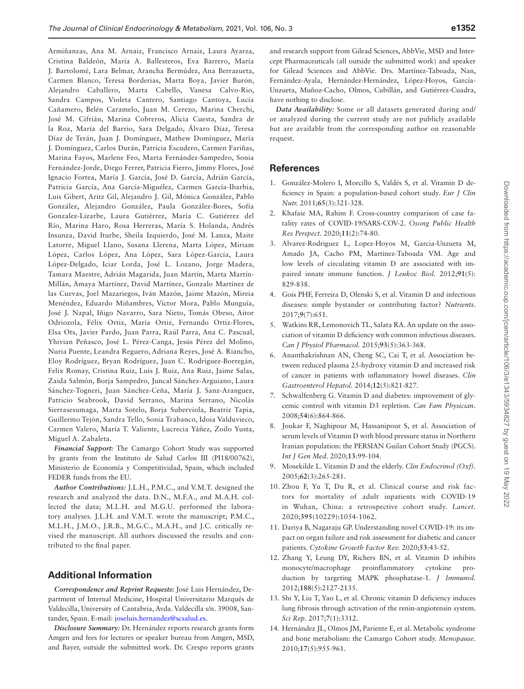Armiñanzas, Ana M. Arnaiz, Francisco Arnaiz, Laura Ayarza, Cristina Baldeón, María A. Ballesteros, Eva Barrero, María J. Bartolomé, Lara Belmar, Arancha Bermúdez, Ana Berrazueta, Carmen Blanco, Teresa Borderias, Marta Boya, Javier Burón, Alejandro Caballero, Marta Cabello, Vanesa Calvo-Rio, Sandra Campos, Violeta Cantero, Santiago Cantoya, Lucía Cañamero, Belén Caramelo, Juan M. Cerezo, Marina Cherchi, José M. Cifrián, Marina Cobreros, Alicia Cuesta, Sandra de la Roz, María del Barrio, Sara Delgado, Álvaro Díaz, Teresa Díaz de Terán, Juan J. Domínguez, Mathew Domínguez, María J. Domínguez, Carlos Durán, Patricia Escudero, Carmen Fariñas, Marina Fayos, Marlene Feo, Marta Fernández-Sampedro, Sonia Fernández-Jorde, Diego Ferrer, Patricia Fierro, Jimmy Flores, José Ignacio Fortea, María J. García, José D. García, Adrián García, Patricia García, Ana García-Miguélez, Carmen García-Ibarbia, Luis Gibert, Aritz Gil, Alejandro J. Gil, Mónica González, Pablo González, Alejandro González, Paula González-Bores, Sofía Gonzalez-Lizarbe, Laura Gutiérrez, María C. Gutiérrez del Río, Marina Haro, Rosa Herreras, María S. Holanda, Andrés Insunza, David Iturbe, Sheila Izquierdo, José M. Lanza, Maite Latorre, Miguel Llano, Susana Llerena, Marta López, Miriam López, Carlos López, Ana López, Sara López-García, Laura López-Delgado, Iciar Lorda, José L. Lozano, Jorge Madera, Tamara Maestre, Adrián Magarida, Juan Martín, Marta Martín-Millán, Amaya Martínez, David Martínez, Gonzalo Martínez de las Cuevas, Joel Mazariegos, Iván Mazón, Jaime Mazón, Mireia Menéndez, Eduardo Miñambres, Víctor Mora, Pablo Munguía, José J. Napal, Iñigo Navarro, Sara Nieto, Tomás Obeso, Aitor Odriozola, Félix Ortiz, María Ortiz, Fernando Ortiz-Flores, Elsa Ots, Javier Pardo, Juan Parra, Raúl Parra, Ana C. Pascual, Yhivian Peñasco, José L. Pérez-Canga, Jesús Pérez del Molino, Nuria Puente, Leandra Reguero, Adriana Reyes, José A. Riancho, Eloy Rodríguez, Bryan Rodríguez, Juan C. Rodríguez-Borregán, Felix Romay, Cristina Ruiz, Luis J. Ruiz, Ana Ruiz, Jaime Salas, Zaida Salmón, Borja Sampedro, Juncal Sánchez-Arguiano, Laura Sánchez-Togneri, Juan Sánchez-Ceña, María J. Sanz-Aranguez, Patricio Seabrook, David Serrano, Marina Serrano, Nicolás Sierrasesumaga, Marta Sotelo, Borja Suberviola, Beatriz Tapia, Guillermo Tejón, Sandra Tello, Sonia Trabanco, Idoia Valduvieco, Carmen Valero, María T. Valiente, Lucrecia Yáñez, Zoilo Yusta, Miguel A. Zabaleta.

*Financial Support:* The Camargo Cohort Study was supported by grants from the Instituto de Salud Carlos III (PI18/00762), Ministerio de Economía y Competitividad, Spain, which included FEDER funds from the EU.

*Author Contributions:* J.L.H., P.M.C., and V.M.T. designed the research and analyzed the data. D.N., M.F.A., and M.A.H. collected the data; M.L.H. and M.G.U. performed the laboratory analyses. J.L.H. and V.M.T. wrote the manuscript; P.M.C., M.L.H., J.M.O., J.R.B., M.G.C., M.A.H., and J.C. critically revised the manuscript. All authors discussed the results and contributed to the final paper.

## **Additional Information**

*Correspondence and Reprint Requests***:** José Luis Hernández, Department of Internal Medicine, Hospital Universitario Marqués de Valdecilla, University of Cantabria, Avda. Valdecilla s/n. 39008, Santander, Spain. E-mail: [joseluis.hernandez@scsalud.es.](mailto:joseluis.hernandez@scsalud.es?subject=)

*Disclosure Summary:* Dr. Hernández reports research grants form Amgen and fees for lectures or speaker bureau from Amgen, MSD, and Bayer, outside the submitted work. Dr. Crespo reports grants and research support from Gilead Sciences, AbbVie, MSD and Intercept Pharmaceuticals (all outside the submitted work) and speaker for Gilead Sciences and AbbVie. Drs. Martínez-Taboada, Nan, Fernández-Ayala, Hernández-Hernández, López-Hoyos, García-Unzueta, Muñoz-Cacho, Olmos, Cubillán, and Gutiérrez-Cuadra, have nothing to disclose.

*Data Availability:* Some or all datasets generated during and/ or analyzed during the current study are not publicly available but are available from the corresponding author on reasonable request.

### **References**

- <span id="page-9-0"></span>1. González-Molero I, Morcillo S, Valdés S, et al. Vitamin D deficiency in Spain: a population-based cohort study. *Eur J Clin Nutr.* 2011;**65**(3):321-328.
- <span id="page-9-1"></span>2. Khafaie MA, Rahim F. Cross-country comparison of case fatality rates of COVID-19/SARS-COV-2. *Osong Public Health Res Perspect.* 2020;**11**(2):74-80.
- <span id="page-9-2"></span>3. Alvarez-Rodriguez L, Lopez-Hoyos M, Garcia-Unzueta M, Amado JA, Cacho PM, Martinez-Taboada VM. Age and low levels of circulating vitamin D are associated with impaired innate immune function. *J Leukoc Biol.* 2012;**91**(5): 829-838.
- 4. Gois PHF, Ferreira D, Olenski S, et al. Vitamin D and infectious diseases: simple bystander or contributing factor? *Nutrients*. 2017;**9**(7):651.
- <span id="page-9-3"></span>5. Watkins RR, Lemonovich TL, Salata RA. An update on the association of vitamin D deficiency with common infectious diseases. *Can J Physiol Pharmacol.* 2015;**93**(5):363-368.
- <span id="page-9-4"></span>6. Ananthakrishnan AN, Cheng SC, Cai T, et al. Association between reduced plasma 25-hydroxy vitamin D and increased risk of cancer in patients with inflammatory bowel diseases. *Clin Gastroenterol Hepatol.* 2014;**12**(5):821-827.
- 7. Schwalfenberg G. Vitamin D and diabetes: improvement of glycemic control with vitamin D3 repletion. *Can Fam Physician.* 2008;**54**(6):864-866.
- 8. Joukar F, Naghipour M, Hassanipour S, et al. Association of serum levels of Vitamin D with blood pressure status in Northern Iranian population: the PERSIAN Guilan Cohort Study (PGCS). *Int J Gen Med.* 2020;**13**:99-104.
- 9. Mosekilde L. Vitamin D and the elderly. *Clin Endocrinol (Oxf).* 2005;**62**(3):265-281.
- 10. Zhou F, Yu T, Du R, et al. Clinical course and risk factors for mortality of adult inpatients with COVID-19 in Wuhan, China: a retrospective cohort study. *Lancet.* 2020;**395**(10229):1054-1062.
- <span id="page-9-5"></span>11. Dariya B, Nagaraju GP. Understanding novel COVID-19: its impact on organ failure and risk assessment for diabetic and cancer patients. *Cytokine Growth Factor Rev.* 2020;**53**:43-52.
- <span id="page-9-6"></span>12. Zhang Y, Leung DY, Richers BN, et al. Vitamin D inhibits monocyte/macrophage proinflammatory cytokine production by targeting MAPK phosphatase-1. *J Immunol.* 2012;**188**(5):2127-2135.
- <span id="page-9-7"></span>13. Shi Y, Liu T, Yao L, et al. Chronic vitamin D deficiency induces lung fibrosis through activation of the renin-angiotensin system. *Sci Rep.* 2017;**7**(1):3312.
- <span id="page-9-8"></span>14. Hernández JL, Olmos JM, Pariente E, et al. Metabolic syndrome and bone metabolism: the Camargo Cohort study. *Menopause.* 2010;**17**(5):955-961.